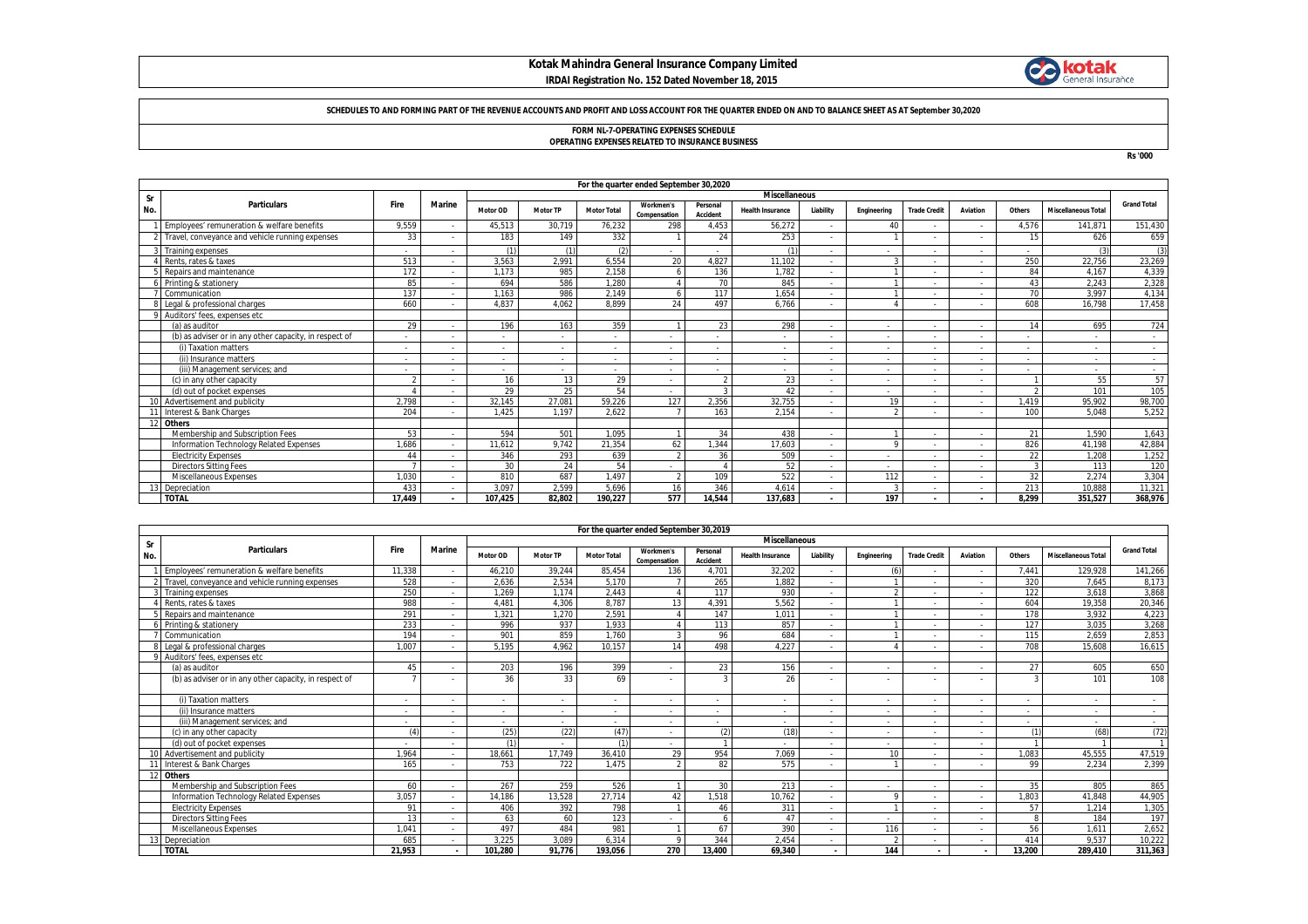## **Kotak Mahindra General Insurance Company Limited IRDAI Registration No. 152 Dated November 18, 2015**



#### **SCHEDULES TO AND FORMING PART OF THE REVENUE ACCOUNTS AND PROFIT AND LOSS ACCOUNT FOR THE QUARTER ENDED ON AND TO BALANCE SHEET AS AT September 30,2020**

# **FORM NL-7-OPERATING EXPENSES SCHEDULE OPERATING EXPENSES RELATED TO INSURANCE BUSINESS**

**Rs '000**

|     |                                                        | For the quarter ended September 30,2020 |               |          |                 |                    |                           |                      |                         |                          |             |                          |          |        |                            |                    |
|-----|--------------------------------------------------------|-----------------------------------------|---------------|----------|-----------------|--------------------|---------------------------|----------------------|-------------------------|--------------------------|-------------|--------------------------|----------|--------|----------------------------|--------------------|
| Sr  |                                                        |                                         |               |          |                 |                    |                           |                      | <b>Miscellaneous</b>    |                          |             |                          |          |        |                            |                    |
| No. | <b>Particulars</b>                                     | Fire                                    | <b>Marine</b> | Motor OD | <b>Motor TP</b> | <b>Motor Total</b> | Workmen's<br>Compensation | Personal<br>Accident | <b>Health Insurance</b> | Liability                | Engineering | <b>Trade Credit</b>      | Aviation | Others | <b>Miscellaneous Total</b> | <b>Grand Total</b> |
|     | Employees' remuneration & welfare benefits             | 9,559                                   |               | 45.513   | 30.719          | 76,232             | 298                       | 4,453                | 56,272                  | $\overline{\phantom{a}}$ | 40          |                          |          | 4,576  | 141.871                    | 151,430            |
|     | Travel, conveyance and vehicle running expenses        | 33                                      |               | 183      | 149             | 332                |                           | 24                   | 253                     |                          |             |                          |          | 15     | 626                        | 659                |
|     | Training expenses                                      |                                         |               | (1)      | (1)             | (2)                |                           |                      | (1)                     | $\overline{\phantom{a}}$ |             | $\overline{\phantom{a}}$ |          |        | (3)                        | (3)                |
|     | Rents, rates & taxes                                   | 513                                     |               | 3,563    | 2.991           | 6,554              | 20                        | 4,827                | 11,102                  |                          |             |                          |          | 250    | 22,756                     | 23,269             |
|     | Repairs and maintenance                                | 172                                     |               | 1.173    | 985             | 2.158              |                           | 136                  | 1.782                   |                          |             |                          |          | 84     | 4.167                      | 4,339              |
|     | Printing & stationery                                  | 85                                      |               | 694      | 586             | 1.280              |                           | 70                   | 845                     |                          |             |                          |          | 43     | 2.243                      | 2,328              |
|     | Communication                                          | 137                                     |               | 1.163    | 986             | 2.149              |                           | 117                  | 1.654                   |                          |             |                          |          | 70     | 3.997                      | 4,134              |
|     | Legal & professional charges                           | 660                                     |               | 4.837    | 4.062           | 8,899              | 24                        | 497                  | 6.766                   |                          |             |                          |          | 608    | 16.798                     | 17,458             |
|     | Auditors' fees, expenses etc.                          |                                         |               |          |                 |                    |                           |                      |                         |                          |             |                          |          |        |                            |                    |
|     | (a) as auditor                                         | 29                                      |               | 196      | 163             | 359                |                           | 23                   | 298                     | $\overline{\phantom{a}}$ |             |                          | $\sim$   | 14     | 695                        | 724                |
|     | (b) as adviser or in any other capacity, in respect of |                                         |               |          |                 |                    |                           |                      |                         | ٠                        |             |                          |          |        |                            |                    |
|     | (i) Taxation matters                                   |                                         |               |          | $\blacksquare$  |                    |                           |                      |                         | $\overline{\phantom{a}}$ |             |                          |          |        |                            | $\sim$             |
|     | (ii) Insurance matters                                 |                                         |               |          | ٠               |                    |                           |                      |                         | $\overline{\phantom{a}}$ |             |                          |          |        | $\overline{\phantom{a}}$   | $\sim$             |
|     | (iii) Management services; and                         |                                         |               |          |                 |                    |                           |                      |                         | $\overline{\phantom{a}}$ |             |                          |          |        |                            |                    |
|     | (c) in any other capacity                              | $\sim$                                  |               | 16       | 13              | 29                 |                           |                      | 23                      | ٠                        |             |                          |          |        | 55                         | 57                 |
|     | (d) out of pocket expenses                             |                                         |               | 29       | 25              | 54                 |                           |                      | 42                      | ٠                        |             |                          |          |        | 101                        | 105                |
|     | Advertisement and publicity                            | 2.798                                   |               | 32.145   | 27.081          | 59.226             | 127                       | 2.356                | 32.755                  | $\overline{\phantom{a}}$ | 19          |                          |          | 1.419  | 95,902                     | 98,700             |
|     | Interest & Bank Charges                                | 204                                     |               | 1.425    | 1.197           | 2.622              |                           | 163                  | 2.154                   | $\overline{\phantom{a}}$ | $\sim$      |                          |          | 100    | 5.048                      | 5,252              |
|     | 12 Others                                              |                                         |               |          |                 |                    |                           |                      |                         |                          |             |                          |          |        |                            |                    |
|     | Membership and Subscription Fees                       | 53                                      |               | 594      | 501             | 1.095              |                           | 34                   | 438                     | $\overline{\phantom{a}}$ |             |                          |          | 21     | 1.590                      | 1.643              |
|     | Information Technology Related Expenses                | 1.686                                   |               | 11.612   | 9.742           | 21,354             | 62                        | 1.344                | 17.603                  | ٠                        | $\sim$      |                          |          | 826    | 41,198                     | 42,884             |
|     | <b>Electricity Expenses</b>                            | 44                                      |               | 346      | 293             | 639                |                           | 36                   | 509                     | $\overline{\phantom{a}}$ |             |                          |          | 22     | 1.208                      | 1.252              |
|     | <b>Directors Sitting Fees</b>                          |                                         |               | 30       | 24              | 54                 |                           |                      | 52                      | $\overline{\phantom{a}}$ |             |                          |          |        | 113                        | 120                |
|     | Miscellaneous Expenses                                 | 1.030                                   |               | 810      | 687             | 1.497              |                           | 109                  | 522                     | $\sim$                   | 112         |                          |          | 32     | 2.274                      | 3,304              |
|     | 3 Depreciation                                         | 433                                     |               | 3.097    | 2.599           | 5.696              | 16                        | 346                  | 4.614                   | ٠                        |             |                          |          | 213    | 10.888                     | 11,321             |
|     | <b>TOTAL</b>                                           | 17.449                                  |               | 107.425  | 82.802          | 190.227            | 577                       | 14.544               | 137.683                 | $\blacksquare$           | 197         |                          |          | 8.299  | 351.527                    | 368,976            |

|            | For the quarter ended September 30,2019                |                          |                          |                          |                 |                          |                           |                      |                          |                          |                          |                     |          |        |                            |                          |
|------------|--------------------------------------------------------|--------------------------|--------------------------|--------------------------|-----------------|--------------------------|---------------------------|----------------------|--------------------------|--------------------------|--------------------------|---------------------|----------|--------|----------------------------|--------------------------|
| Sr         |                                                        |                          |                          | <b>Miscellaneous</b>     |                 |                          |                           |                      |                          |                          |                          |                     |          |        |                            |                          |
| No.        | <b>Particulars</b>                                     | Fire                     | <b>Marine</b>            | Motor OD                 | <b>Motor TP</b> | <b>Motor Total</b>       | Workmen's<br>Compensation | Personal<br>Accident | <b>Health Insurance</b>  | Liability                | Engineering              | <b>Trade Credit</b> | Aviation | Others | <b>Miscellaneous Total</b> | <b>Grand Total</b>       |
|            | Employees' remuneration & welfare benefits             | 11.338                   |                          | 46.210                   | 39,244          | 85.454                   | 136                       | 4.701                | 32.202                   | $\sim$                   | $\theta$                 |                     |          | 7.441  | 129.928                    | 141,266                  |
|            | Travel, conveyance and vehicle running expenses        | 528                      |                          | 2.636                    | 2.534           | 5.170                    | $\overline{ }$            | 265                  | 1.882                    |                          |                          |                     |          | 320    | 7.645                      | 8.173                    |
|            | Training expenses                                      | 250                      |                          | 1.269                    | 1.174           | 2.443                    |                           | 117                  | 930                      |                          |                          |                     |          | 122    | 3.618                      | 3,868                    |
|            | Rents, rates & taxes                                   | 988                      |                          | 4.481                    | 4.306           | 8.787                    | 13                        | 4.391                | 5.562                    |                          |                          |                     |          | 604    | 19.358                     | 20,346                   |
|            | Repairs and maintenance                                | 291                      |                          | 1,321                    | 1.270           | 2,591                    |                           | 147                  | 1.011                    |                          |                          |                     |          | 178    | 3.932                      | 4,223                    |
|            | 6 Printing & stationery                                | 233                      |                          | 996                      | 937             | 1.933                    |                           | 113                  | 857                      | $\overline{\phantom{a}}$ |                          |                     |          | 127    | 3.035                      | 3,268                    |
|            | Communication                                          | 194                      |                          | 901                      | 859             | 1.760                    |                           | 96                   | 684                      |                          |                          |                     |          | 115    | 2.659                      | 2,853                    |
|            | Legal & professional charges                           | 1.007                    |                          | 5.195                    | 4.962           | 10.157                   | 14                        | 498                  | 4.227                    | $\overline{\phantom{a}}$ |                          |                     |          | 708    | 15.608                     | 16.615                   |
| $^{\circ}$ | Auditors' fees, expenses etc.                          |                          |                          |                          |                 |                          |                           |                      |                          |                          |                          |                     |          |        |                            |                          |
|            | (a) as auditor                                         | 45                       |                          | 203                      | 196             | 399                      | $\sim$                    | 23                   | 156                      | $\overline{\phantom{a}}$ |                          |                     |          | 27     | 605                        | 650                      |
|            | (b) as adviser or in any other capacity, in respect of |                          |                          | 36                       | 33              | 69                       |                           |                      | 26                       |                          |                          |                     |          |        | 101                        | 108                      |
|            | (i) Taxation matters                                   | $\overline{\phantom{a}}$ |                          | $\overline{\phantom{a}}$ |                 | $\overline{\phantom{a}}$ | $\overline{\phantom{a}}$  |                      |                          | $\sim$                   | $\overline{\phantom{a}}$ |                     |          | $\sim$ | $\sim$                     | $\overline{\phantom{a}}$ |
|            | (ii) Insurance matters                                 | $\sim$                   | $\overline{\phantom{a}}$ | $\overline{\phantom{a}}$ |                 | $\sim$                   | $\sim$                    |                      | $\overline{\phantom{a}}$ | $\sim$                   | $\overline{\phantom{a}}$ |                     |          | $\sim$ | $\sim$                     | $\sim$                   |
|            | (iii) Management services: and                         | $\sim$                   |                          | ۰.                       |                 | $\overline{\phantom{a}}$ | $\sim$                    |                      |                          | $\sim$                   | $\overline{\phantom{a}}$ |                     |          |        | $\sim$                     | $\sim$                   |
|            | (c) in any other capacity                              | (4)                      |                          | (25)                     | (22)            | (47)                     | $\sim$                    | (2)                  | (18)                     |                          | $\overline{\phantom{a}}$ |                     |          |        | (68)                       | (72)                     |
|            | (d) out of pocket expenses                             | $\sim$                   |                          | (1)                      |                 |                          | $\overline{\phantom{a}}$  |                      |                          |                          | $\overline{\phantom{a}}$ |                     |          |        |                            |                          |
|            | 10 Advertisement and publicity                         | 1.964                    |                          | 18.661                   | 17.749          | 36.410                   | 29                        | 954                  | 7.069                    | $\overline{\phantom{a}}$ | 10                       |                     |          | 1.083  | 45,555                     | 47,519                   |
|            | Interest & Bank Charges                                | 165                      |                          | 753                      | 722             | 1.475                    | $\gamma$                  | 82                   | 575                      | $\sim$                   |                          |                     |          | 99     | 2.234                      | 2,399                    |
|            | <b>Others</b>                                          |                          |                          |                          |                 |                          |                           |                      |                          |                          |                          |                     |          |        |                            |                          |
|            | Membership and Subscription Fees                       | 60                       |                          | 267                      | 259             | 526                      |                           | 30                   | 213                      | .                        | $\overline{\phantom{a}}$ |                     |          | 35     | 805                        | 865                      |
|            | Information Technology Related Expenses                | 3.057                    |                          | 14.186                   | 13,528          | 27,714                   | 42                        | 1,518                | 10.762                   | $\sim$                   | $\Omega$                 |                     |          | 1.803  | 41.848                     | 44,905                   |
|            | <b>Electricity Expenses</b>                            | 91                       |                          | 406                      | 392             | 798                      |                           | 46                   | 311                      |                          |                          |                     |          | 57     | 1.214                      | 1,305                    |
|            | <b>Directors Sitting Fees</b>                          | 13                       |                          | 63                       | 60              | 123                      | $\overline{\phantom{a}}$  | 6                    | 47                       | $\overline{\phantom{a}}$ | $\overline{\phantom{a}}$ |                     |          |        | 184                        | 197                      |
|            | Miscellaneous Expenses                                 | 1.041                    |                          | 497                      | 484             | 981                      |                           | 67                   | 390                      | $\overline{\phantom{a}}$ | 116                      |                     |          | 56     | 1.611                      | 2,652                    |
|            | Depreciation                                           | 685                      |                          | 3.225                    | 3.089           | 6.314                    | $\circ$                   | 344                  | 2,454                    | $\sim$                   |                          |                     |          | 414    | 9.537                      | 10,222                   |
|            | <b>TOTAL</b>                                           | 21.953                   |                          | 101.280                  | 91.776          | 193.056                  | 270                       | 13.400               | 69.340                   | $\sim$                   | 144                      | $\blacksquare$      |          | 13.200 | 289.410                    | 311,363                  |